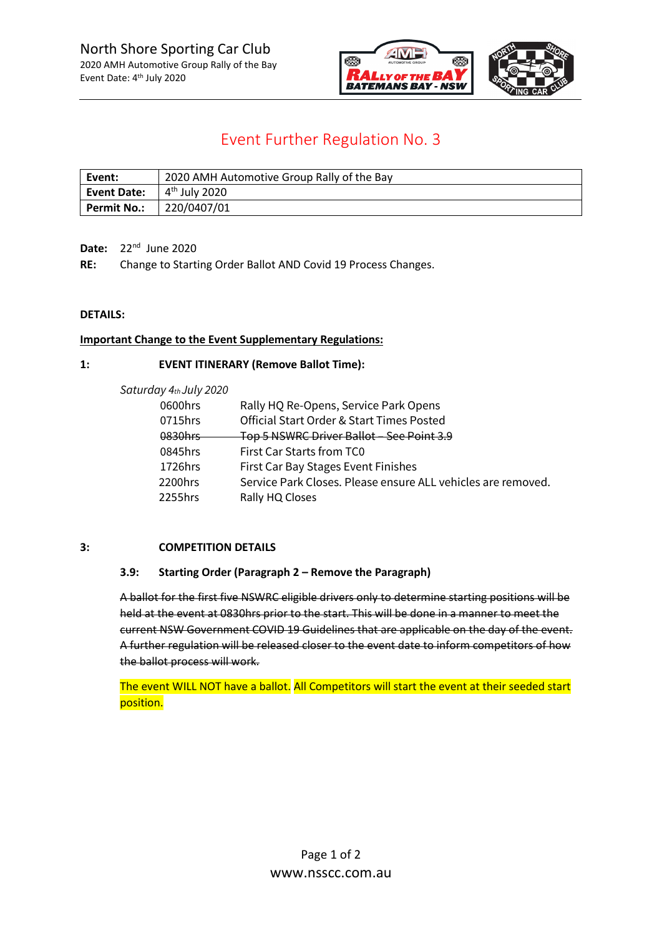

# Event Further Regulation No. 3

| Event:                                       | 2020 AMH Automotive Group Rally of the Bay |
|----------------------------------------------|--------------------------------------------|
| <b>Event Date:</b> $4^{\text{th}}$ July 2020 |                                            |
| <b>Permit No.:</b>                           | $\mid$ 220/0407/01                         |

**Date:** 22nd June 2020

**RE:** Change to Starting Order Ballot AND Covid 19 Process Changes.

## **DETAILS:**

## **Important Change to the Event Supplementary Regulations:**

## **1: EVENT ITINERARY (Remove Ballot Time):**

| Rally HQ Re-Opens, Service Park Opens                        |
|--------------------------------------------------------------|
| Official Start Order & Start Times Posted                    |
| Top 5 NSWRC Driver Ballot - See Point 3.9                    |
| First Car Starts from TC0                                    |
| First Car Bay Stages Event Finishes                          |
| Service Park Closes. Please ensure ALL vehicles are removed. |
| Rally HQ Closes                                              |
|                                                              |

#### **3: COMPETITION DETAILS**

#### **3.9: Starting Order (Paragraph 2 – Remove the Paragraph)**

A ballot for the first five NSWRC eligible drivers only to determine starting positions will be held at the event at 0830hrs prior to the start. This will be done in a manner to meet the current NSW Government COVID 19 Guidelines that are applicable on the day of the event. A further regulation will be released closer to the event date to inform competitors of how the ballot process will work.

The event WILL NOT have a ballot. All Competitors will start the event at their seeded start position.